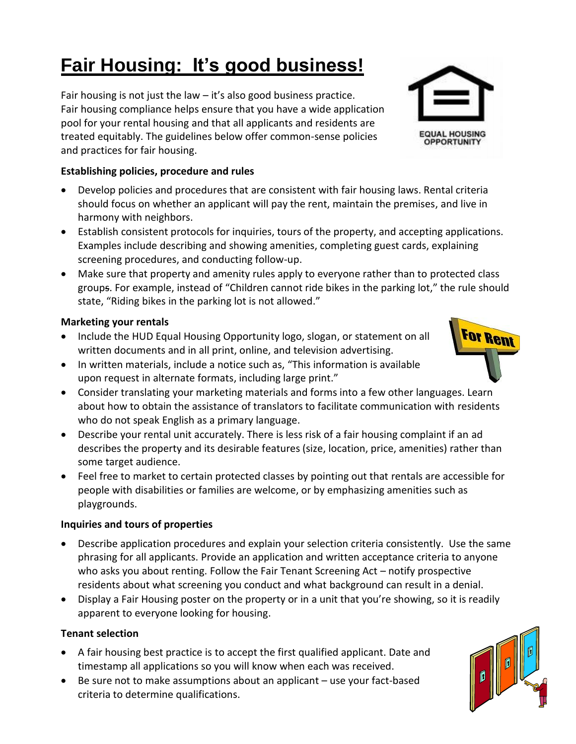# **Fair Housing: It's good business!**

Fair housing is not just the law – it's also good business practice. Fair housing compliance helps ensure that you have a wide application pool for your rental housing and that all applicants and residents are treated equitably. The guidelines below offer common-sense policies and practices for fair housing.

## **Establishing policies, procedure and rules**

- Develop policies and procedures that are consistent with fair housing laws. Rental criteria should focus on whether an applicant will pay the rent, maintain the premises, and live in harmony with neighbors.
- Establish consistent protocols for inquiries, tours of the property, and accepting applications. Examples include describing and showing amenities, completing guest cards, explaining screening procedures, and conducting follow-up.
- Make sure that property and amenity rules apply to everyone rather than to protected class groups. For example, instead of "Children cannot ride bikes in the parking lot," the rule should state, "Riding bikes in the parking lot is not allowed."

## **Marketing your rentals**

- Include the HUD Equal Housing Opportunity logo, slogan, or statement on all written documents and in all print, online, and television advertising.
- In written materials, include a notice such as, "This information is available upon request in alternate formats, including large print."
- Consider translating your marketing materials and forms into a few other languages. Learn about how to obtain the assistance of translators to facilitate communication with residents who do not speak English as a primary language.
- Describe your rental unit accurately. There is less risk of a fair housing complaint if an ad describes the property and its desirable features (size, location, price, amenities) rather than some target audience.
- Feel free to market to certain protected classes by pointing out that rentals are accessible for people with disabilities or families are welcome, or by emphasizing amenities such as playgrounds.

### **Inquiries and tours of properties**

- Describe application procedures and explain your selection criteria consistently. Use the same phrasing for all applicants. Provide an application and written acceptance criteria to anyone who asks you about renting. Follow the Fair Tenant Screening Act – notify prospective residents about what screening you conduct and what background can result in a denial.
- Display a Fair Housing poster on the property or in a unit that you're showing, so it is readily apparent to everyone looking for housing.

## **Tenant selection**

- A fair housing best practice is to accept the first qualified applicant. Date and timestamp all applications so you will know when each was received.
- Be sure not to make assumptions about an applicant use your fact-based criteria to determine qualifications.



**For Rent**